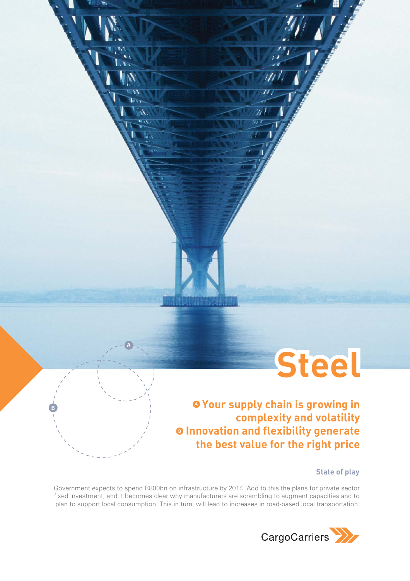

**Your supply chain is growing in A complexity and volatility Innovation and flexibility generate B the best value for the right price**

'n

**State of play**

Government expects to spend R800bn on infrastructure by 2014. Add to this the plans for private sector fixed investment, and it becomes clear why manufacturers are scrambling to augment capacities and to plan to support local consumption. This in turn, will lead to increases in road-based local transportation.

**A**

**B**